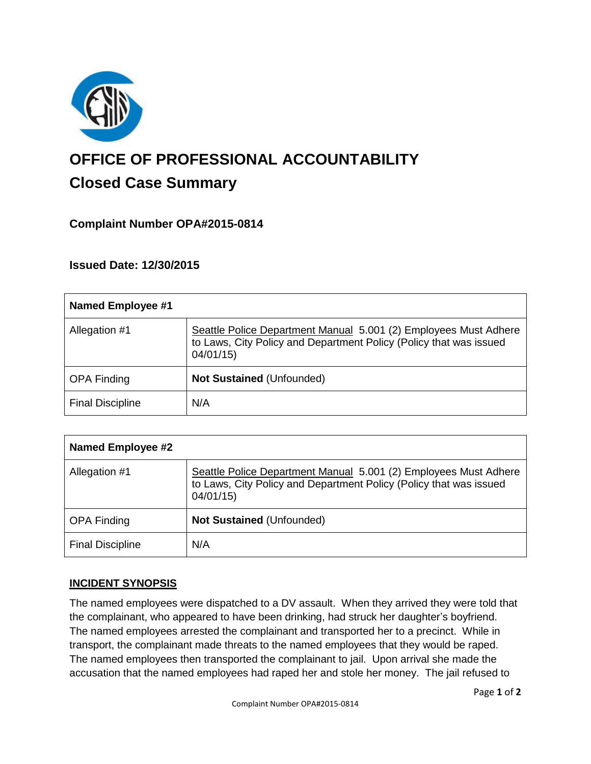

# **OFFICE OF PROFESSIONAL ACCOUNTABILITY Closed Case Summary**

# **Complaint Number OPA#2015-0814**

**Issued Date: 12/30/2015**

| <b>Named Employee #1</b> |                                                                                                                                                    |
|--------------------------|----------------------------------------------------------------------------------------------------------------------------------------------------|
| Allegation #1            | Seattle Police Department Manual 5.001 (2) Employees Must Adhere<br>to Laws, City Policy and Department Policy (Policy that was issued<br>04/01/15 |
| <b>OPA Finding</b>       | <b>Not Sustained (Unfounded)</b>                                                                                                                   |
| <b>Final Discipline</b>  | N/A                                                                                                                                                |

| <b>Named Employee #2</b> |                                                                                                                                                    |
|--------------------------|----------------------------------------------------------------------------------------------------------------------------------------------------|
| Allegation #1            | Seattle Police Department Manual 5.001 (2) Employees Must Adhere<br>to Laws, City Policy and Department Policy (Policy that was issued<br>04/01/15 |
| <b>OPA Finding</b>       | <b>Not Sustained (Unfounded)</b>                                                                                                                   |
| <b>Final Discipline</b>  | N/A                                                                                                                                                |

# **INCIDENT SYNOPSIS**

The named employees were dispatched to a DV assault. When they arrived they were told that the complainant, who appeared to have been drinking, had struck her daughter's boyfriend. The named employees arrested the complainant and transported her to a precinct. While in transport, the complainant made threats to the named employees that they would be raped. The named employees then transported the complainant to jail. Upon arrival she made the accusation that the named employees had raped her and stole her money. The jail refused to